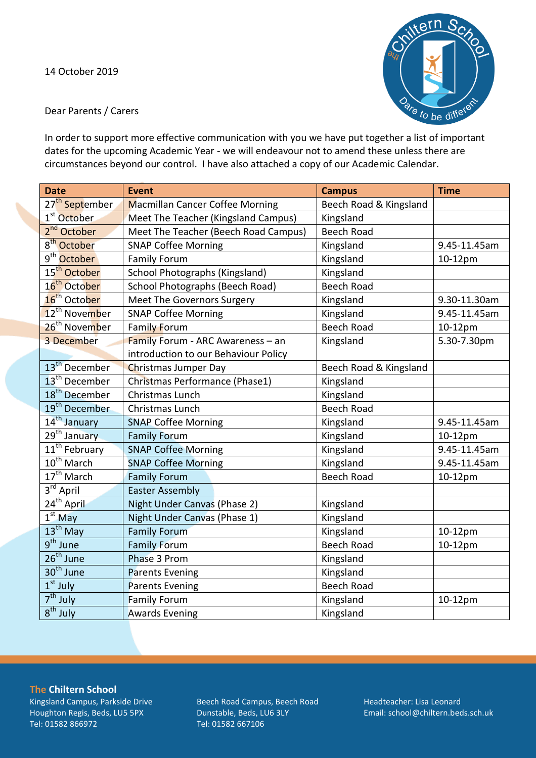

Dear Parents / Carers

In order to support more effective communication with you we have put together a list of important dates for the upcoming Academic Year - we will endeavour not to amend these unless there are circumstances beyond our control. I have also attached a copy of our Academic Calendar.

| <b>Date</b>                | <b>Event</b>                           | <b>Campus</b>          | <b>Time</b>  |
|----------------------------|----------------------------------------|------------------------|--------------|
| 27 <sup>th</sup> September | <b>Macmillan Cancer Coffee Morning</b> | Beech Road & Kingsland |              |
| 1 <sup>st</sup> October    | Meet The Teacher (Kingsland Campus)    | Kingsland              |              |
| 2 <sup>nd</sup> October    | Meet The Teacher (Beech Road Campus)   | <b>Beech Road</b>      |              |
| 8 <sup>th</sup> October    | <b>SNAP Coffee Morning</b>             | Kingsland              | 9.45-11.45am |
| 9 <sup>th</sup> October    | <b>Family Forum</b>                    | Kingsland              | 10-12pm      |
| 15 <sup>th</sup> October   | School Photographs (Kingsland)         | Kingsland              |              |
| 16 <sup>th</sup> October   | School Photographs (Beech Road)        | <b>Beech Road</b>      |              |
| 16 <sup>th</sup> October   | Meet The Governors Surgery             | Kingsland              | 9.30-11.30am |
| 12 <sup>th</sup> November  | <b>SNAP Coffee Morning</b>             | Kingsland              | 9.45-11.45am |
| 26 <sup>th</sup> November  | Family Forum                           | <b>Beech Road</b>      | 10-12pm      |
| 3 December                 | Family Forum - ARC Awareness - an      | Kingsland              | 5.30-7.30pm  |
|                            | introduction to our Behaviour Policy   |                        |              |
| 13 <sup>th</sup> December  | <b>Christmas Jumper Day</b>            | Beech Road & Kingsland |              |
| 13 <sup>th</sup> December  | Christmas Performance (Phase1)         | Kingsland              |              |
| 18 <sup>th</sup> December  | Christmas Lunch                        | Kingsland              |              |
| 19 <sup>th</sup> December  | Christmas Lunch                        | <b>Beech Road</b>      |              |
| 14 <sup>th</sup> January   | <b>SNAP Coffee Morning</b>             | Kingsland              | 9.45-11.45am |
| 29 <sup>th</sup> January   | <b>Family Forum</b>                    | Kingsland              | 10-12pm      |
| $11th$ February            | <b>SNAP Coffee Morning</b>             | Kingsland              | 9.45-11.45am |
| 10 <sup>th</sup> March     | <b>SNAP Coffee Morning</b>             | Kingsland              | 9.45-11.45am |
| $17th$ March               | <b>Family Forum</b>                    | <b>Beech Road</b>      | 10-12pm      |
| $3^{\text{rd}}$ April      | <b>Easter Assembly</b>                 |                        |              |
| 24 <sup>th</sup> April     | Night Under Canvas (Phase 2)           | Kingsland              |              |
| $1st$ May                  | Night Under Canvas (Phase 1)           | Kingsland              |              |
| $13th$ May                 | <b>Family Forum</b>                    | Kingsland              | 10-12pm      |
| 9 <sup>th</sup> June       | <b>Family Forum</b>                    | <b>Beech Road</b>      | 10-12pm      |
| $26th$ June                | Phase 3 Prom                           | Kingsland              |              |
| 30 <sup>th</sup> June      | <b>Parents Evening</b>                 | Kingsland              |              |
| $1st$ July                 | <b>Parents Evening</b>                 | <b>Beech Road</b>      |              |
| $7th$ July                 | <b>Family Forum</b>                    | Kingsland              | 10-12pm      |
| $8^{\text{th}}$ July       | <b>Awards Evening</b>                  | Kingsland              |              |

**The Chiltern School** Kingsland Campus, Parkside Drive Houghton Regis, Beds, LU5 5PX Tel: 01582 866972

Beech Road Campus, Beech Road Dunstable, Beds, LU6 3LY Tel: 01582 667106

Headteacher: Lisa Leonard Email: school@chiltern.beds.sch.uk